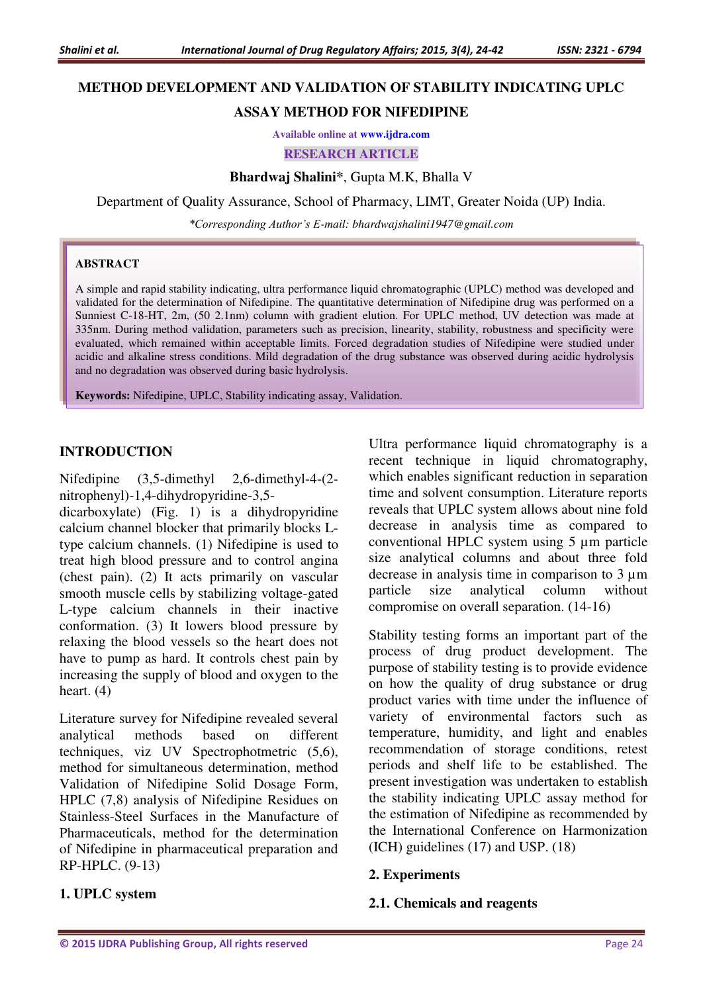# **METHOD DEVELOPMENT AND VALIDATION OF STABILITY INDICATING UPLC**

# **ASSAY METHOD FOR NIFEDIPINE**

**Available online at [www.ijdra.com](http://www.ijdra.com/)**

#### **RESEARCH ARTICLE**

**Bhardwaj Shalini\***, Gupta M.K, Bhalla V

Department of Quality Assurance, School of Pharmacy, LIMT, Greater Noida (UP) India.

*\*Corresponding Author's E-mail: bhardwajshalini1947@gmail.com* 

#### **ABSTRACT**

A simple and rapid stability indicating, ultra performance liquid chromatographic (UPLC) method was developed and validated for the determination of Nifedipine. The quantitative determination of Nifedipine drug was performed on a Sunniest C-18-HT, 2m, (50 2.1nm) column with gradient elution. For UPLC method, UV detection was made at 335nm. During method validation, parameters such as precision, linearity, stability, robustness and specificity were evaluated, which remained within acceptable limits. Forced degradation studies of Nifedipine were studied under acidic and alkaline stress conditions. Mild degradation of the drug substance was observed during acidic hydrolysis and no degradation was observed during basic hydrolysis.

**Keywords:** Nifedipine, UPLC, Stability indicating assay, Validation.

## **INTRODUCTION**

Nifedipine (3,5-dimethyl 2,6-dimethyl-4-(2nitrophenyl)-1,4-dihydropyridine-3,5-

dicarboxylate) (Fig. 1) is a dihydropyridine calcium channel blocker that primarily blocks Ltype calcium channels. (1) Nifedipine is used to treat high blood pressure and to control angina (chest pain). (2) It acts primarily on vascular smooth muscle cells by stabilizing voltage-gated L-type calcium channels in their inactive conformation. (3) It lowers blood pressure by relaxing the blood vessels so the heart does not have to pump as hard. It controls chest pain by increasing the supply of blood and oxygen to the heart. (4)

Literature survey for Nifedipine revealed several analytical methods based on different techniques, viz UV Spectrophotmetric (5,6), method for simultaneous determination, method Validation of Nifedipine Solid Dosage Form, HPLC (7,8) analysis of Nifedipine Residues on Stainless-Steel Surfaces in the Manufacture of Pharmaceuticals, method for the determination of Nifedipine in pharmaceutical preparation and RP-HPLC. (9-13)

# **1. UPLC system**

Ultra performance liquid chromatography is a recent technique in liquid chromatography, which enables significant reduction in separation time and solvent consumption. Literature reports reveals that UPLC system allows about nine fold decrease in analysis time as compared to conventional HPLC system using 5 µm particle size analytical columns and about three fold decrease in analysis time in comparison to 3 µm particle size analytical column without compromise on overall separation. (14-16)

Stability testing forms an important part of the process of drug product development. The purpose of stability testing is to provide evidence on how the quality of drug substance or drug product varies with time under the influence of variety of environmental factors such as temperature, humidity, and light and enables recommendation of storage conditions, retest periods and shelf life to be established. The present investigation was undertaken to establish the stability indicating UPLC assay method for the estimation of Nifedipine as recommended by the International Conference on Harmonization (ICH) guidelines (17) and USP. (18)

#### **2. Experiments**

#### **2.1. Chemicals and reagents**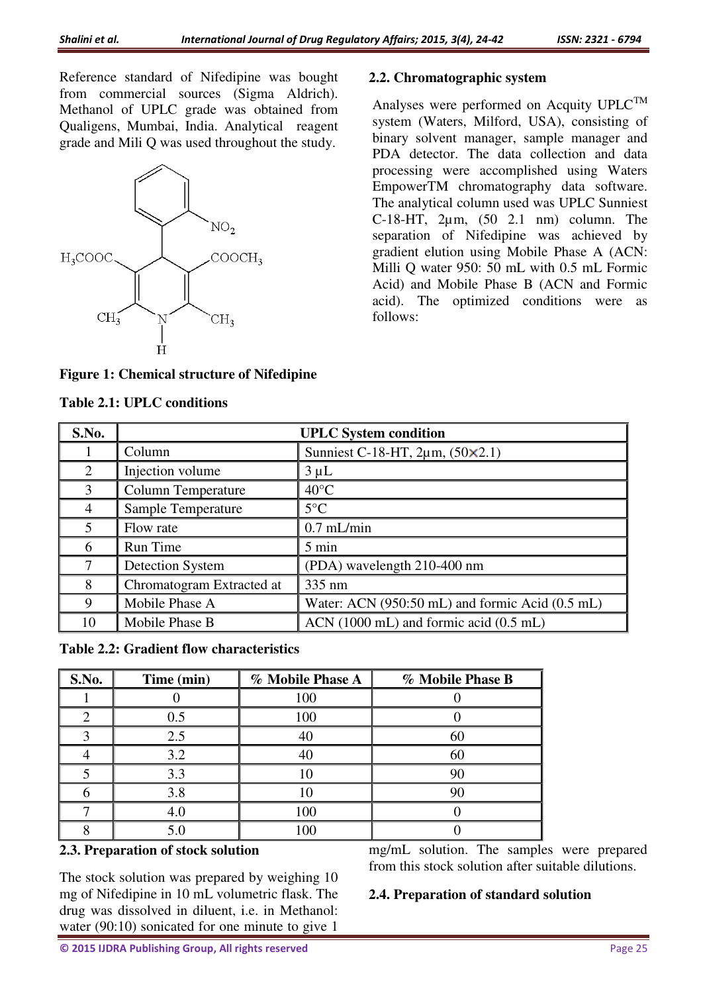Reference standard of Nifedipine was bought from commercial sources (Sigma Aldrich). Methanol of UPLC grade was obtained from Qualigens, Mumbai, India. Analytical reagent grade and Mili Q was used throughout the study.



## **Figure 1: Chemical structure of Nifedipine**

# **Table 2.1: UPLC conditions**

#### **2.2. Chromatographic system**

Analyses were performed on Acquity UPLC<sup>TM</sup> system (Waters, Milford, USA), consisting of binary solvent manager, sample manager and PDA detector. The data collection and data processing were accomplished using Waters EmpowerTM chromatography data software. The analytical column used was UPLC Sunniest C-18-HT,  $2\mu$ m,  $(50, 2.1, \text{nm})$  column. The separation of Nifedipine was achieved by gradient elution using Mobile Phase A (ACN: Milli Q water 950: 50 mL with 0.5 mL Formic Acid) and Mobile Phase B (ACN and Formic acid). The optimized conditions were as follows:

| S.No.          | <b>UPLC</b> System condition |                                                 |  |  |
|----------------|------------------------------|-------------------------------------------------|--|--|
|                | Column                       | Sunniest C-18-HT, $2\mu$ m, $(50 \times 2.1)$   |  |  |
| 2              | Injection volume             | $3 \mu L$                                       |  |  |
| $\mathcal{E}$  | <b>Column Temperature</b>    | $40^{\circ}$ C                                  |  |  |
| 4              | <b>Sample Temperature</b>    | $5^{\circ}$ C                                   |  |  |
| $\overline{5}$ | Flow rate                    | $0.7$ mL/min                                    |  |  |
| 6              | Run Time                     | 5 min                                           |  |  |
| $\tau$         | <b>Detection System</b>      | (PDA) wavelength 210-400 nm                     |  |  |
| 8              | Chromatogram Extracted at    | 335 nm                                          |  |  |
| 9              | Mobile Phase A               | Water: ACN (950:50 mL) and formic Acid (0.5 mL) |  |  |
| 10             | Mobile Phase B               | ACN (1000 mL) and formic acid (0.5 mL)          |  |  |

**Table 2.2: Gradient flow characteristics** 

| S.No. | Time (min) | % Mobile Phase A | % Mobile Phase B |
|-------|------------|------------------|------------------|
|       |            | 100              |                  |
|       | 0.5        | 100              |                  |
|       | 2.5        |                  | 60               |
|       | 3.2        |                  | 60               |
|       | 3.3        |                  |                  |
|       | 3.8        |                  |                  |
|       |            | 100              |                  |
|       |            | 100              |                  |

#### **2.3. Preparation of stock solution**

The stock solution was prepared by weighing 10 mg of Nifedipine in 10 mL volumetric flask. The drug was dissolved in diluent, i.e. in Methanol: water (90:10) sonicated for one minute to give 1

mg/mL solution. The samples were prepared from this stock solution after suitable dilutions.

#### **2.4. Preparation of standard solution**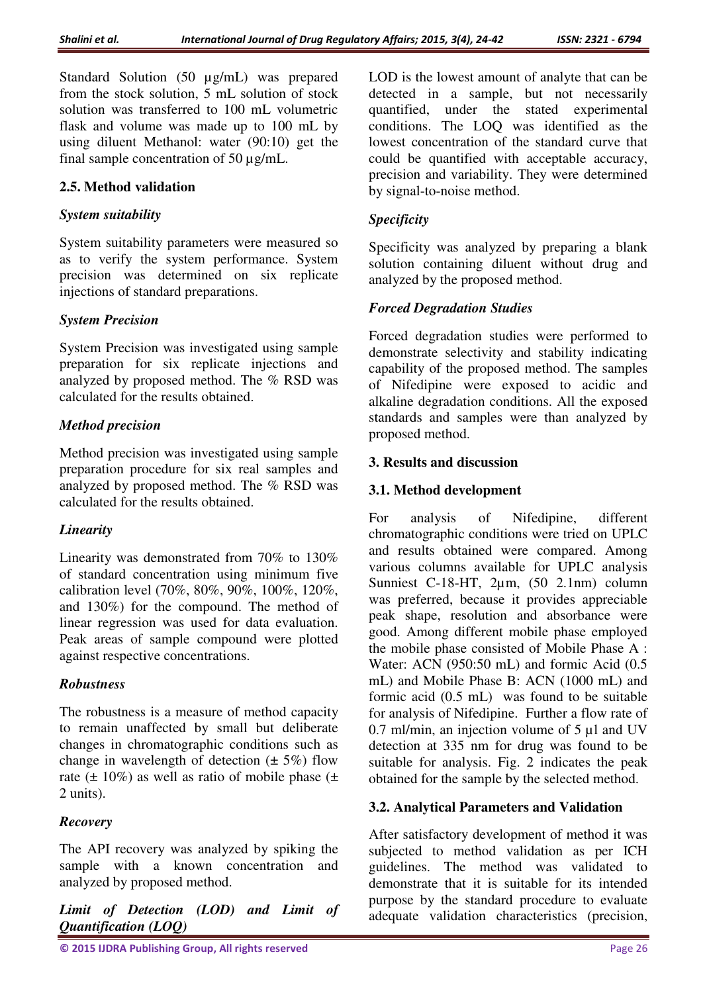Standard Solution (50 µg/mL) was prepared from the stock solution, 5 mL solution of stock solution was transferred to 100 mL volumetric flask and volume was made up to 100 mL by using diluent Methanol: water (90:10) get the final sample concentration of 50 µg/mL.

## **2.5. Method validation**

#### *System suitability*

System suitability parameters were measured so as to verify the system performance. System precision was determined on six replicate injections of standard preparations.

#### *System Precision*

System Precision was investigated using sample preparation for six replicate injections and analyzed by proposed method. The % RSD was calculated for the results obtained.

#### *Method precision*

Method precision was investigated using sample preparation procedure for six real samples and analyzed by proposed method. The % RSD was calculated for the results obtained.

#### *Linearity*

Linearity was demonstrated from 70% to 130% of standard concentration using minimum five calibration level (70%, 80%, 90%, 100%, 120%, and 130%) for the compound. The method of linear regression was used for data evaluation. Peak areas of sample compound were plotted against respective concentrations.

#### *Robustness*

The robustness is a measure of method capacity to remain unaffected by small but deliberate changes in chromatographic conditions such as change in wavelength of detection  $(\pm 5\%)$  flow rate ( $\pm$  10%) as well as ratio of mobile phase ( $\pm$ 2 units).

# *Recovery*

The API recovery was analyzed by spiking the sample with a known concentration and analyzed by proposed method.

*Limit of Detection (LOD) and Limit of Quantification (LOQ)* 

LOD is the lowest amount of analyte that can be detected in a sample, but not necessarily quantified, under the stated experimental conditions. The LOQ was identified as the lowest concentration of the standard curve that could be quantified with acceptable accuracy, precision and variability. They were determined by signal-to-noise method.

## *Specificity*

Specificity was analyzed by preparing a blank solution containing diluent without drug and analyzed by the proposed method.

## *Forced Degradation Studies*

Forced degradation studies were performed to demonstrate selectivity and stability indicating capability of the proposed method. The samples of Nifedipine were exposed to acidic and alkaline degradation conditions. All the exposed standards and samples were than analyzed by proposed method.

## **3. Results and discussion**

## **3.1. Method development**

For analysis of Nifedipine, different chromatographic conditions were tried on UPLC and results obtained were compared. Among various columns available for UPLC analysis Sunniest C-18-HT, 2µm, (50 2.1nm) column was preferred, because it provides appreciable peak shape, resolution and absorbance were good. Among different mobile phase employed the mobile phase consisted of Mobile Phase A : Water: ACN (950:50 mL) and formic Acid (0.5 mL) and Mobile Phase B: ACN (1000 mL) and formic acid (0.5 mL) was found to be suitable for analysis of Nifedipine. Further a flow rate of 0.7 ml/min, an injection volume of 5 µl and UV detection at 335 nm for drug was found to be suitable for analysis. Fig. 2 indicates the peak obtained for the sample by the selected method.

#### **3.2. Analytical Parameters and Validation**

After satisfactory development of method it was subjected to method validation as per ICH guidelines. The method was validated to demonstrate that it is suitable for its intended purpose by the standard procedure to evaluate adequate validation characteristics (precision,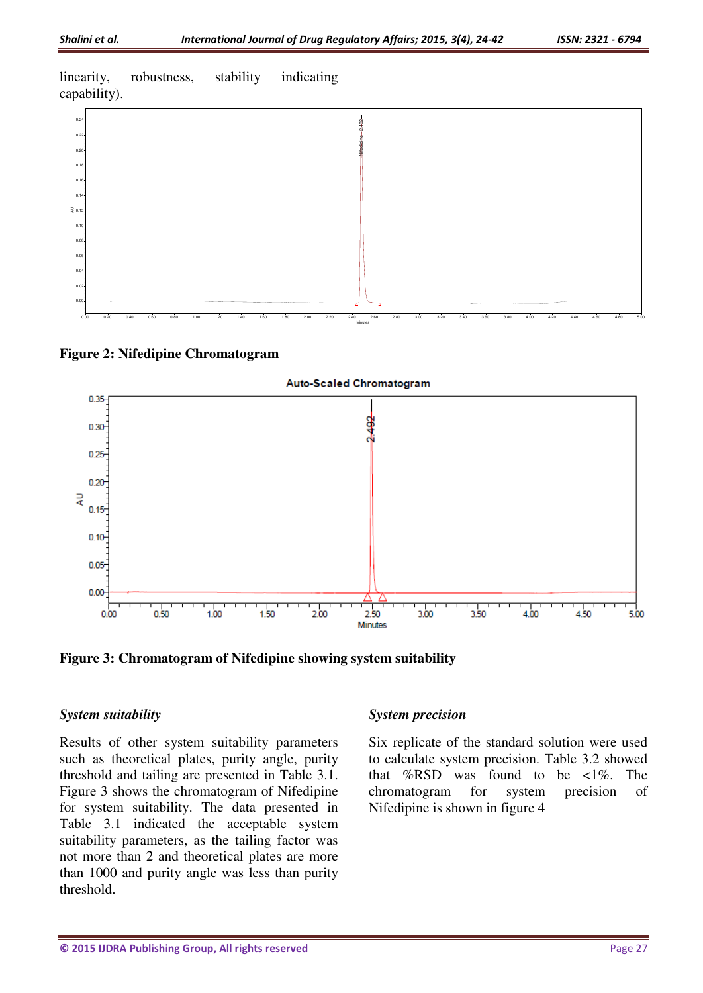linearity, robustness, stability indicating capability).



Minutes





**Figure 3: Chromatogram of Nifedipine showing system suitability** 

#### *System suitability*

Results of other system suitability parameters such as theoretical plates, purity angle, purity threshold and tailing are presented in Table 3.1. Figure 3 shows the chromatogram of Nifedipine for system suitability. The data presented in Table 3.1 indicated the acceptable system suitability parameters, as the tailing factor was not more than 2 and theoretical plates are more than 1000 and purity angle was less than purity threshold.

#### *System precision*

Six replicate of the standard solution were used to calculate system precision. Table 3.2 showed that %RSD was found to be  $\langle 1\% \rangle$ . The chromatogram for system precision of Nifedipine is shown in figure 4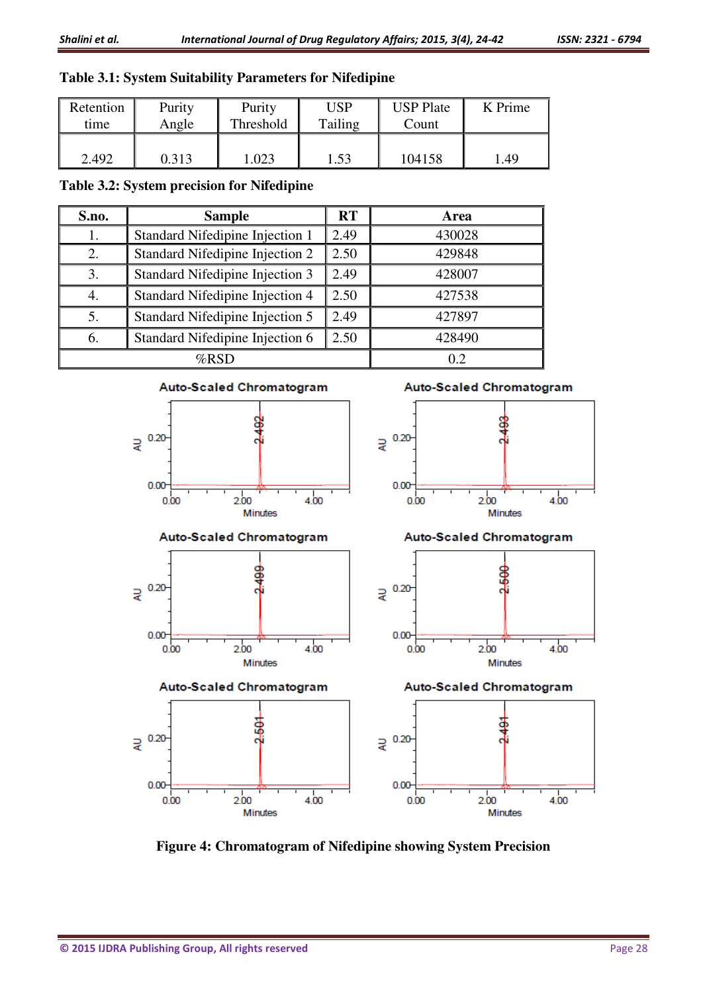# **Table 3.1: System Suitability Parameters for Nifedipine**

| Retention | Purity | Purity    | USP     | <b>USP Plate</b> | K Prime |
|-----------|--------|-----------|---------|------------------|---------|
| time      | Angle  | Threshold | Tailing | Count            |         |
| 2.492     | 0.313  | .023      | 1.53    | 104158           | l.49    |

**Table 3.2: System precision for Nifedipine**

| S.no.   | <b>RT</b><br><b>Sample</b>              |      | Area   |  |
|---------|-----------------------------------------|------|--------|--|
|         | <b>Standard Nifedipine Injection 1</b>  | 2.49 | 430028 |  |
|         | Standard Nifedipine Injection 2         | 2.50 | 429848 |  |
| 3.      | Standard Nifedipine Injection 3         | 2.49 | 428007 |  |
|         | Standard Nifedipine Injection 4         | 2.50 | 427538 |  |
|         | Standard Nifedipine Injection 5         | 2.49 | 427897 |  |
| 6.      | 2.50<br>Standard Nifedipine Injection 6 |      | 428490 |  |
| $%$ RSD |                                         |      |        |  |



**Figure 4: Chromatogram of Nifedipine showing System Precision**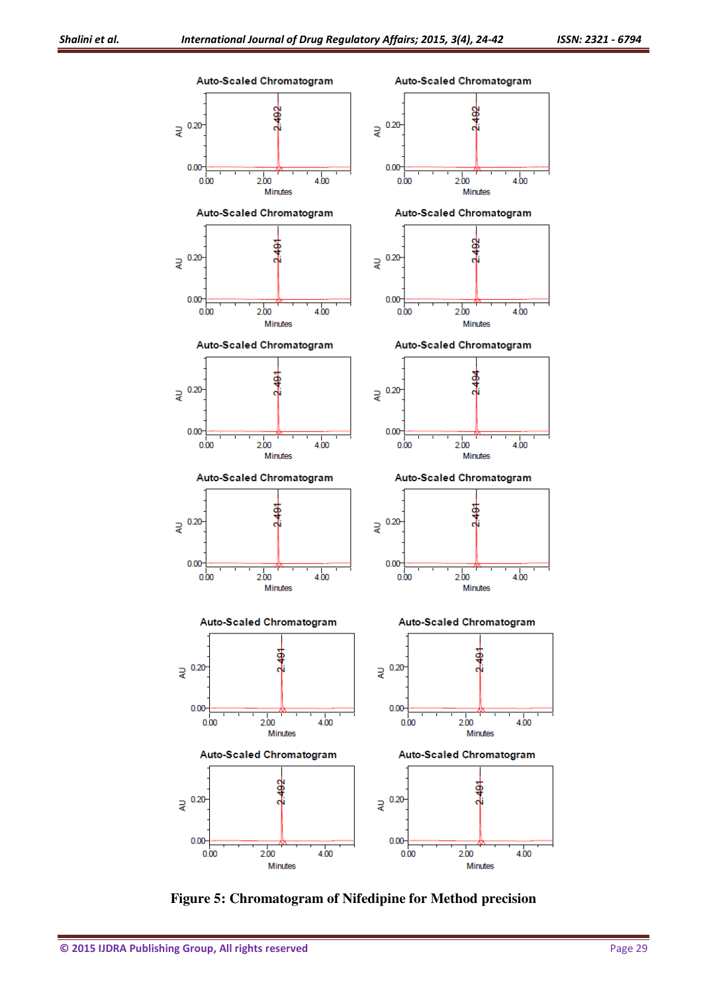

**Figure 5: Chromatogram of Nifedipine for Method precision**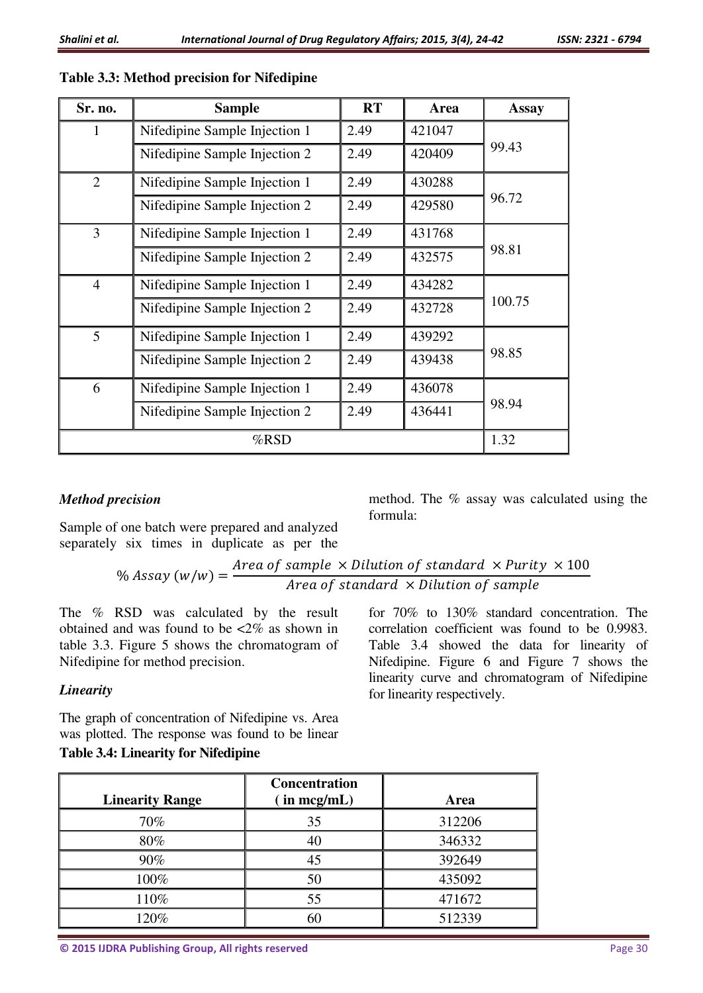| Sr. no.        | <b>Sample</b>                 | <b>RT</b> | Area   | <b>Assay</b> |  |
|----------------|-------------------------------|-----------|--------|--------------|--|
| 1              | Nifedipine Sample Injection 1 | 2.49      | 421047 |              |  |
|                | Nifedipine Sample Injection 2 | 2.49      | 420409 | 99.43        |  |
| $\overline{2}$ | Nifedipine Sample Injection 1 | 2.49      | 430288 |              |  |
|                | Nifedipine Sample Injection 2 | 2.49      | 429580 | 96.72        |  |
| 3              | Nifedipine Sample Injection 1 | 2.49      | 431768 |              |  |
|                | Nifedipine Sample Injection 2 | 2.49      | 432575 | 98.81        |  |
| $\overline{4}$ | Nifedipine Sample Injection 1 | 2.49      | 434282 |              |  |
|                | Nifedipine Sample Injection 2 | 2.49      | 432728 | 100.75       |  |
| 5              | Nifedipine Sample Injection 1 | 2.49      | 439292 |              |  |
|                | Nifedipine Sample Injection 2 | 2.49      | 439438 | 98.85        |  |
| 6              | Nifedipine Sample Injection 1 | 2.49      | 436078 |              |  |
|                | Nifedipine Sample Injection 2 | 2.49      | 436441 | 98.94        |  |
|                | %RSD                          |           |        |              |  |

# **Table 3.3: Method precision for Nifedipine**

# *Method precision*

Sample of one batch were prepared and analyzed separately six times in duplicate as per the

method. The % assay was calculated using the formula:

#### $\%$  Assay  $(w/w) =$ Area of sample  $\times$  Dilution of standard  $\times$  Purity  $\times$   $100$ Area of standard  $\times$  Dilution of sample

The % RSD was calculated by the result obtained and was found to be <2% as shown in table 3.3. Figure 5 shows the chromatogram of Nifedipine for method precision.

# *Linearity*

The graph of concentration of Nifedipine vs. Area was plotted. The response was found to be linear **Table 3.4: Linearity for Nifedipine** 

for 70% to 130% standard concentration. The correlation coefficient was found to be 0.9983. Table 3.4 showed the data for linearity of Nifedipine. Figure 6 and Figure 7 shows the linearity curve and chromatogram of Nifedipine for linearity respectively.

| <b>Linearity Range</b> | <b>Concentration</b><br>in $mcg/mL$ ) | Area   |
|------------------------|---------------------------------------|--------|
| 70%                    | 35                                    | 312206 |
| 80%                    | 40                                    | 346332 |
| 90%                    | 45                                    | 392649 |
| 100%                   | 50                                    | 435092 |
| 110%                   | 55                                    | 471672 |
| 120%                   | 60                                    | 512339 |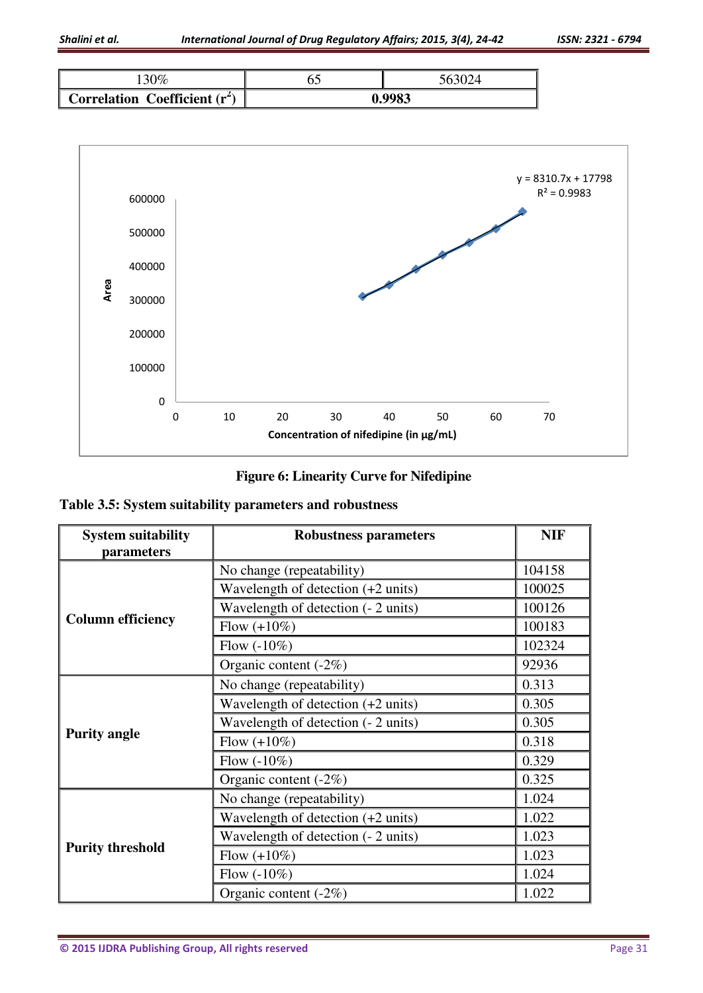





# **Figure 6: Linearity Curve for Nifedipine**

**Table 3.5: System suitability parameters and robustness** 

| <b>System suitability</b><br>parameters | <b>Robustness parameters</b>                 | <b>NIF</b> |
|-----------------------------------------|----------------------------------------------|------------|
|                                         | No change (repeatability)                    | 104158     |
|                                         | Wavelength of detection $(+2 \text{ units})$ | 100025     |
|                                         | Wavelength of detection (- 2 units)          | 100126     |
| <b>Column efficiency</b>                | Flow $(+10\%)$                               | 100183     |
|                                         | Flow $(-10\%)$                               | 102324     |
|                                         | Organic content $(-2\%)$                     | 92936      |
|                                         | No change (repeatability)                    | 0.313      |
|                                         | Wavelength of detection $(+2 \text{ units})$ | 0.305      |
|                                         | Wavelength of detection (- 2 units)          | 0.305      |
| <b>Purity angle</b>                     | Flow $(+10\%)$                               | 0.318      |
|                                         | Flow $(-10\%)$                               | 0.329      |
|                                         | Organic content $(-2\%)$                     | 0.325      |
|                                         | No change (repeatability)                    | 1.024      |
|                                         | Wavelength of detection $(+2 \text{ units})$ | 1.022      |
|                                         | Wavelength of detection (- 2 units)          | 1.023      |
| <b>Purity threshold</b>                 | Flow $(+10\%)$                               | 1.023      |
|                                         | Flow $(-10\%)$                               | 1.024      |
|                                         | Organic content (-2%)                        | 1.022      |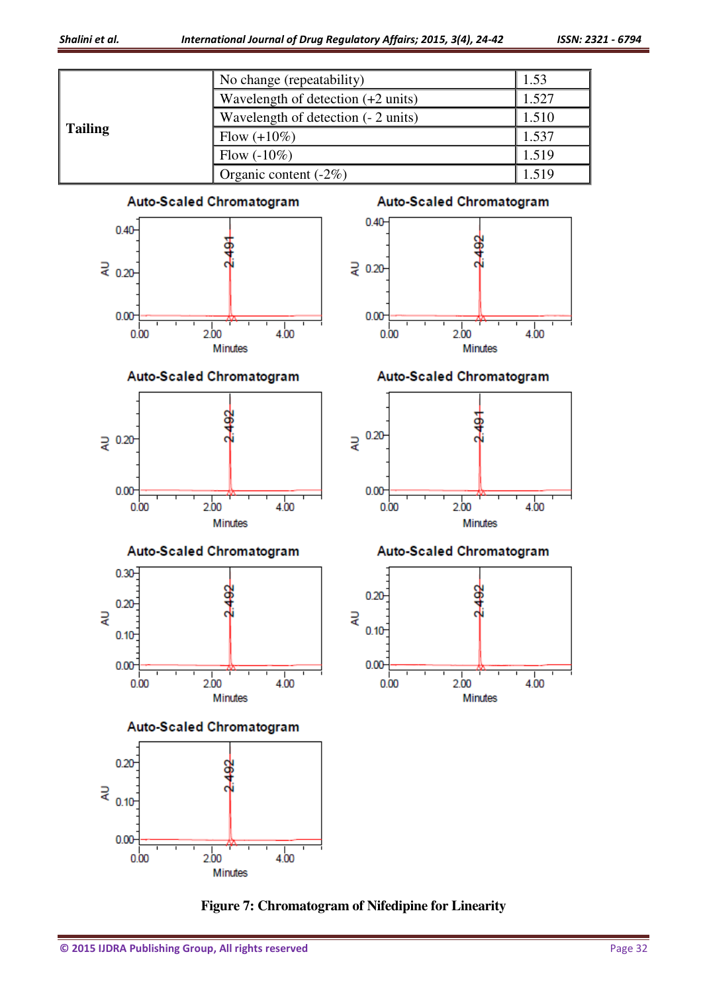

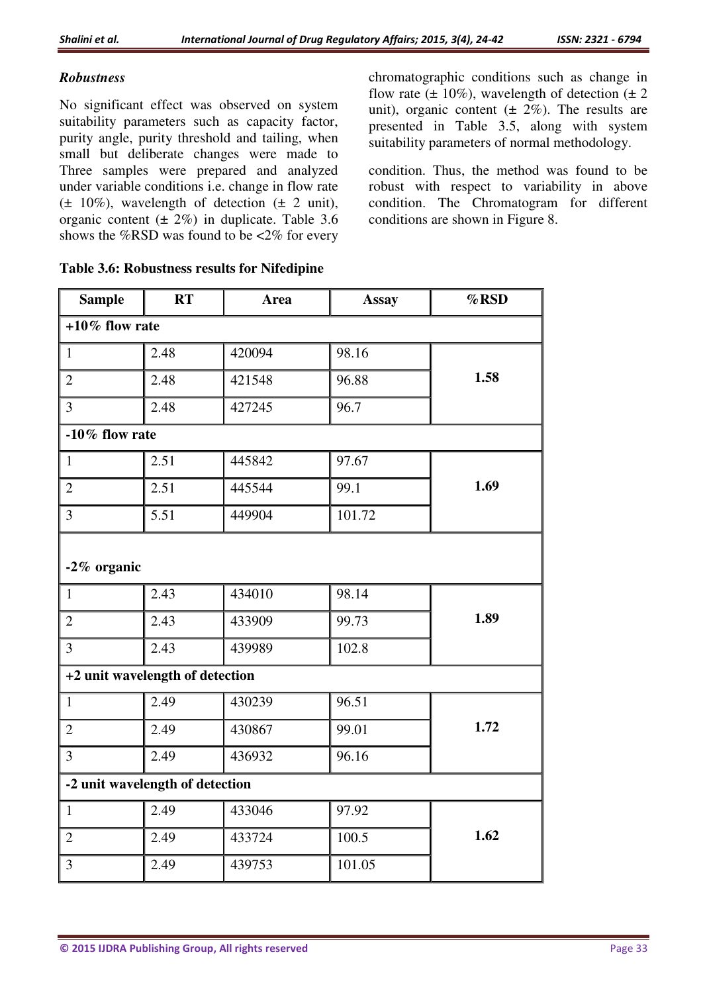## *Robustness*

No significant effect was observed on system suitability parameters such as capacity factor, purity angle, purity threshold and tailing, when small but deliberate changes were made to Three samples were prepared and analyzed under variable conditions i.e. change in flow rate  $(\pm 10\%)$ , wavelength of detection  $(\pm 2 \text{ unit})$ , organic content  $(\pm 2\%)$  in duplicate. Table 3.6 shows the %RSD was found to be <2% for every

| chromatographic conditions such as change in              |
|-----------------------------------------------------------|
| flow rate $(\pm 10\%)$ , wavelength of detection $(\pm 2$ |
| unit), organic content $(\pm 2\%)$ . The results are      |
| presented in Table 3.5, along with system                 |
| suitability parameters of normal methodology.             |

condition. Thus, the method was found to be robust with respect to variability in above condition. The Chromatogram for different conditions are shown in Figure 8.

| <b>Sample</b>                   | <b>RT</b>                       | <b>Area</b> | <b>Assay</b> | %RSD |  |
|---------------------------------|---------------------------------|-------------|--------------|------|--|
| $+10\%$ flow rate               |                                 |             |              |      |  |
| $\mathbf{1}$                    | 2.48                            | 420094      | 98.16        |      |  |
| $\overline{2}$                  | 2.48                            | 421548      | 96.88        | 1.58 |  |
| $\overline{3}$                  | 2.48                            | 427245      | 96.7         |      |  |
| $-10\%$ flow rate               |                                 |             |              |      |  |
| $\mathbf{1}$                    | 2.51                            | 445842      | 97.67        |      |  |
| $\overline{2}$                  | 2.51                            | 445544      | 99.1         | 1.69 |  |
| $\overline{3}$                  | 5.51                            | 449904      | 101.72       |      |  |
| -2% organic                     |                                 |             |              |      |  |
| $\mathbf{1}$                    | 2.43                            | 434010      | 98.14        |      |  |
| $\overline{2}$                  | 2.43                            | 433909      | 99.73        | 1.89 |  |
| $\overline{3}$                  | 2.43                            | 439989      | 102.8        |      |  |
|                                 | +2 unit wavelength of detection |             |              |      |  |
| $\mathbf{1}$                    | 2.49                            | 430239      | 96.51        |      |  |
| $\overline{2}$                  | 2.49                            | 430867      | 99.01        | 1.72 |  |
| $\overline{3}$                  | 2.49                            | 436932      | 96.16        |      |  |
| -2 unit wavelength of detection |                                 |             |              |      |  |
| $\mathbf{1}$                    | 2.49                            | 433046      | 97.92        |      |  |
| $\overline{2}$                  | 2.49                            | 433724      | 100.5        | 1.62 |  |
| $\overline{3}$                  | 2.49                            | 439753      | 101.05       |      |  |

#### **Table 3.6: Robustness results for Nifedipine**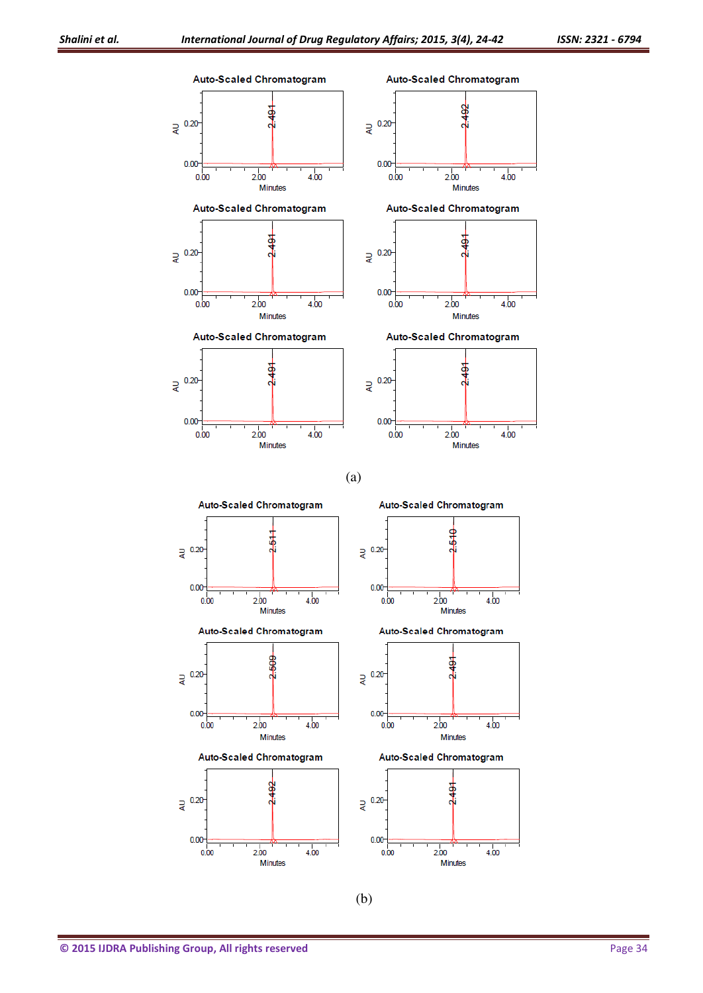

(b)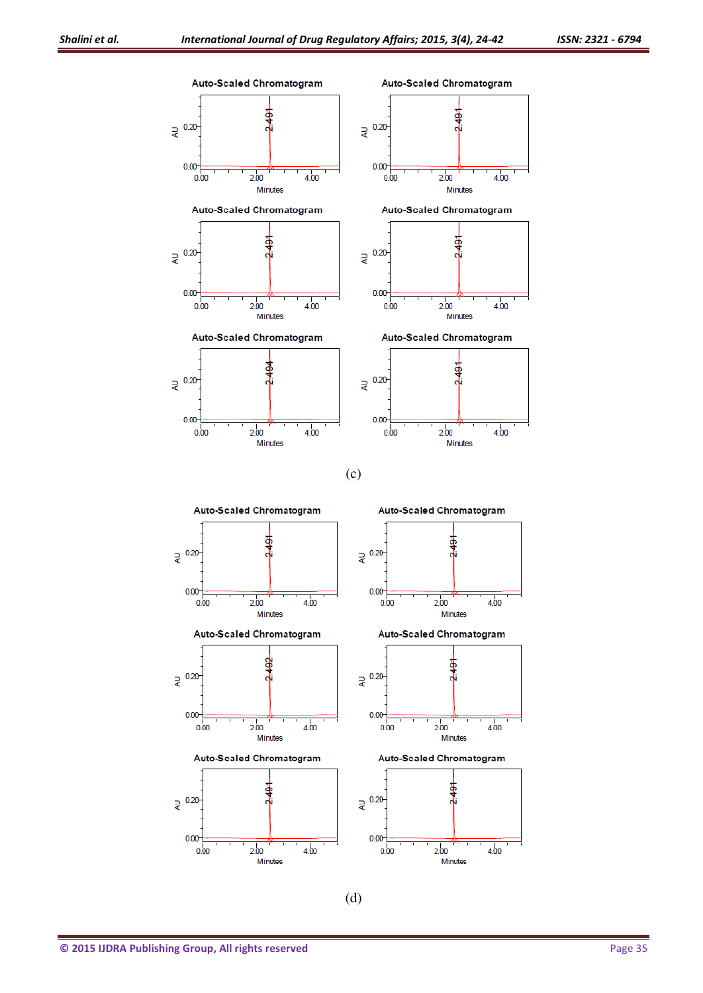

(d)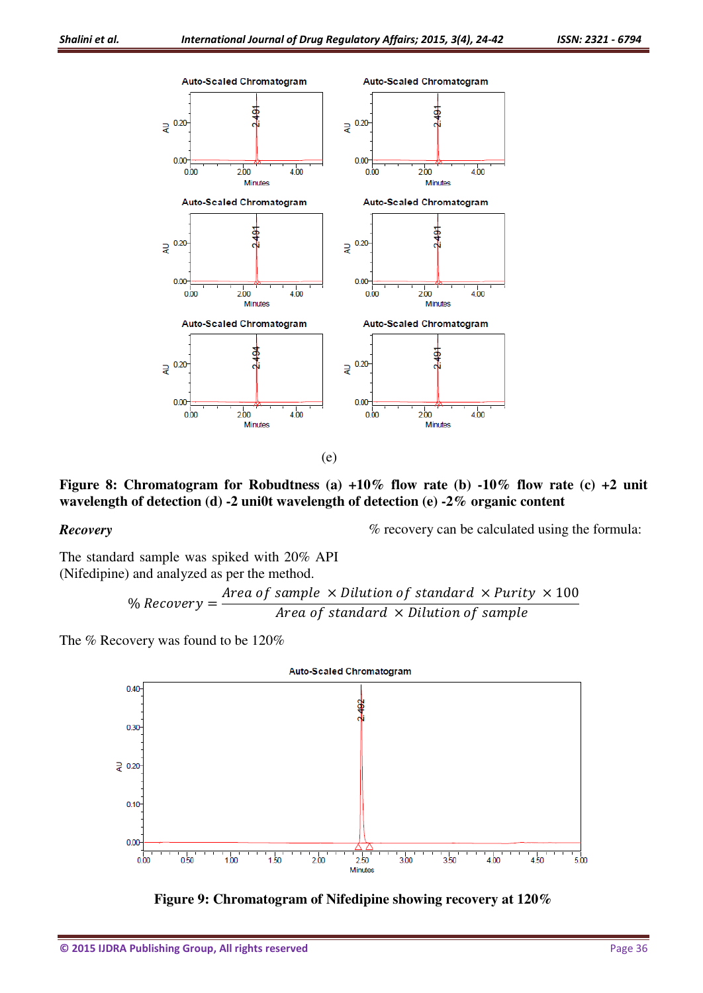

(e)

Figure 8: Chromatogram for Robudtness (a)  $+10\%$  flow rate (b)  $-10\%$  flow rate (c)  $+2$  unit **wavelength of detection (d) -2 uni0t wavelength of detection (e) -2% organic content**

#### *Recovery*

% recovery can be calculated using the formula:

The standard sample was spiked with 20% API (Nifedipine) and analyzed as per the method.

$$
\% Recovery = \frac{Area\ of\ sample\ \times Dilution\ of\ standard\ \times Purity\ \times 100}{Area\ of\ standard\ \times Dilution\ of\ sample}
$$

The % Recovery was found to be 120%



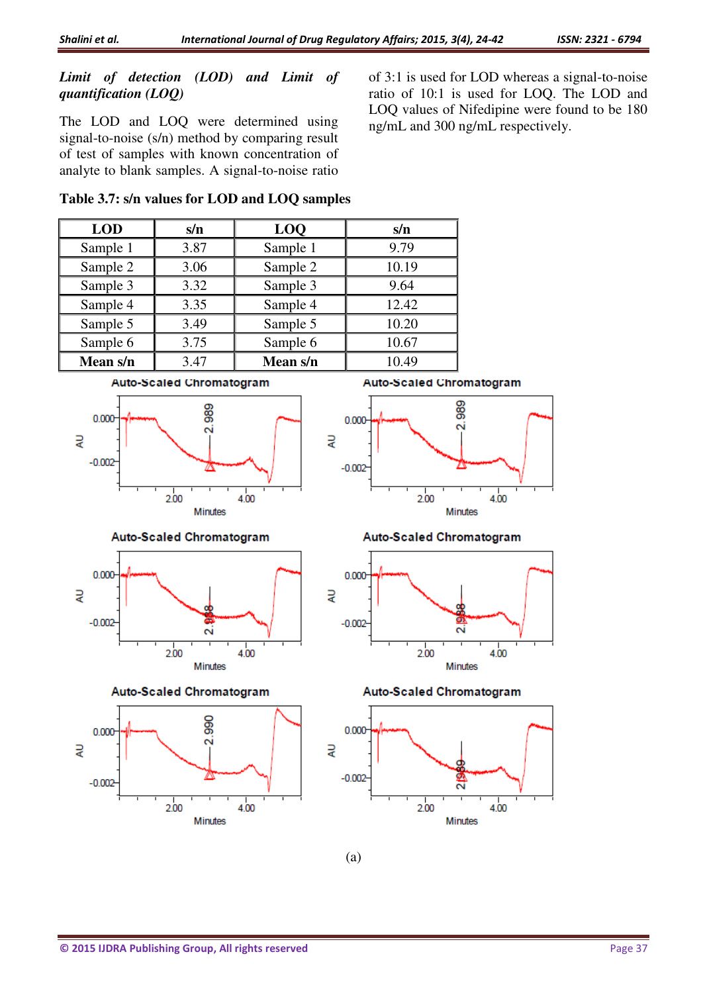#### *Limit of detection (LOD) and Limit of quantification (LOQ)*

The LOD and LOQ were determined using signal-to-noise (s/n) method by comparing result of test of samples with known concentration of analyte to blank samples. A signal-to-noise ratio of 3:1 is used for LOD whereas a signal-to-noise ratio of 10:1 is used for LOQ. The LOD and LOQ values of Nifedipine were found to be 180 ng/mL and 300 ng/mL respectively.

#### **Table 3.7: s/n values for LOD and LOQ samples**



(a)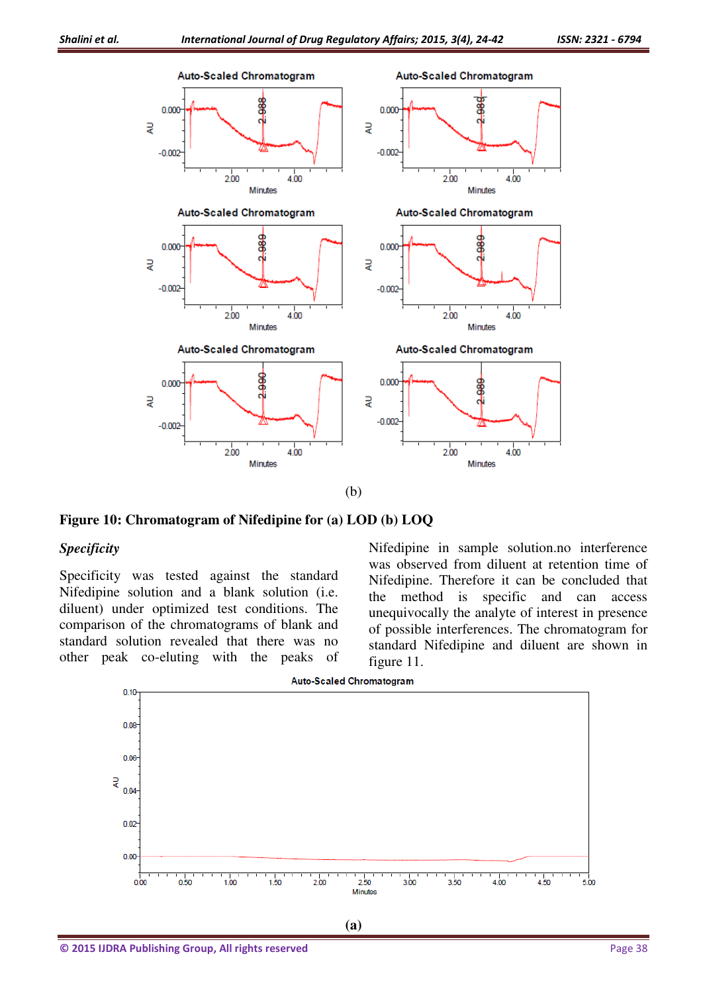

(b)

**Figure 10: Chromatogram of Nifedipine for (a) LOD (b) LOQ** 

#### *Specificity*

Specificity was tested against the standard Nifedipine solution and a blank solution (i.e. diluent) under optimized test conditions. The comparison of the chromatograms of blank and standard solution revealed that there was no other peak co-eluting with the peaks of Nifedipine in sample solution.no interference was observed from diluent at retention time of Nifedipine. Therefore it can be concluded that the method is specific and can access unequivocally the analyte of interest in presence of possible interferences. The chromatogram for standard Nifedipine and diluent are shown in figure 11.

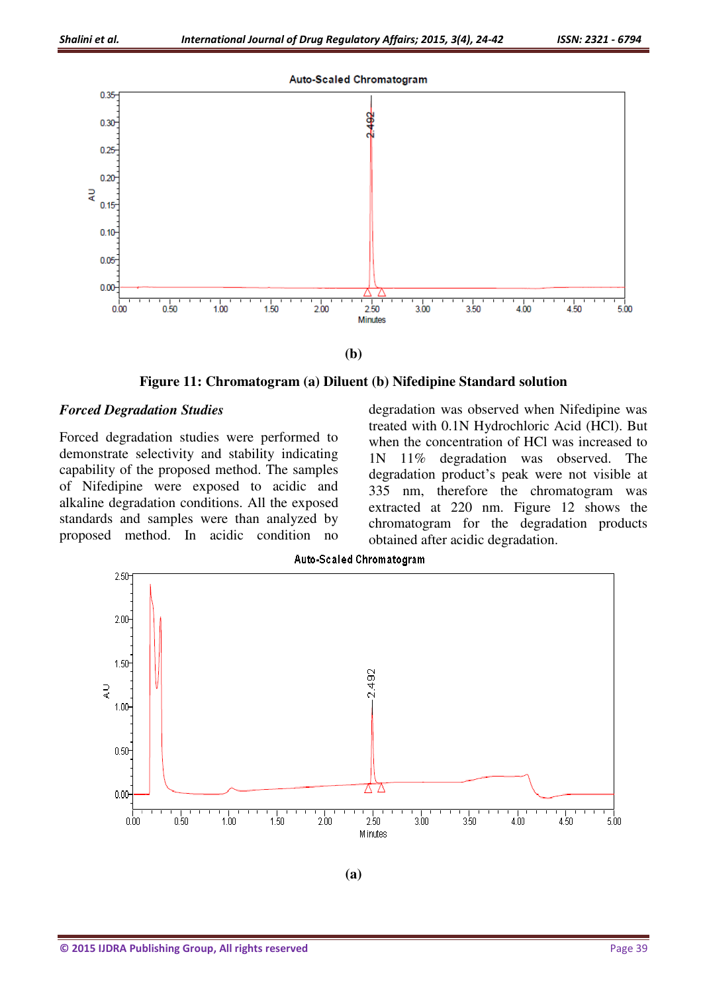

**(b)** 

**Figure 11: Chromatogram (a) Diluent (b) Nifedipine Standard solution** 

#### *Forced Degradation Studies*

Forced degradation studies were performed to demonstrate selectivity and stability indicating capability of the proposed method. The samples of Nifedipine were exposed to acidic and alkaline degradation conditions. All the exposed standards and samples were than analyzed by proposed method. In acidic condition no degradation was observed when Nifedipine was treated with 0.1N Hydrochloric Acid (HCl). But when the concentration of HCl was increased to 1N 11% degradation was observed. The degradation product's peak were not visible at 335 nm, therefore the chromatogram was extracted at 220 nm. Figure 12 shows the chromatogram for the degradation products obtained after acidic degradation.



**Auto-Scaled Chromatogram** 

**(a)**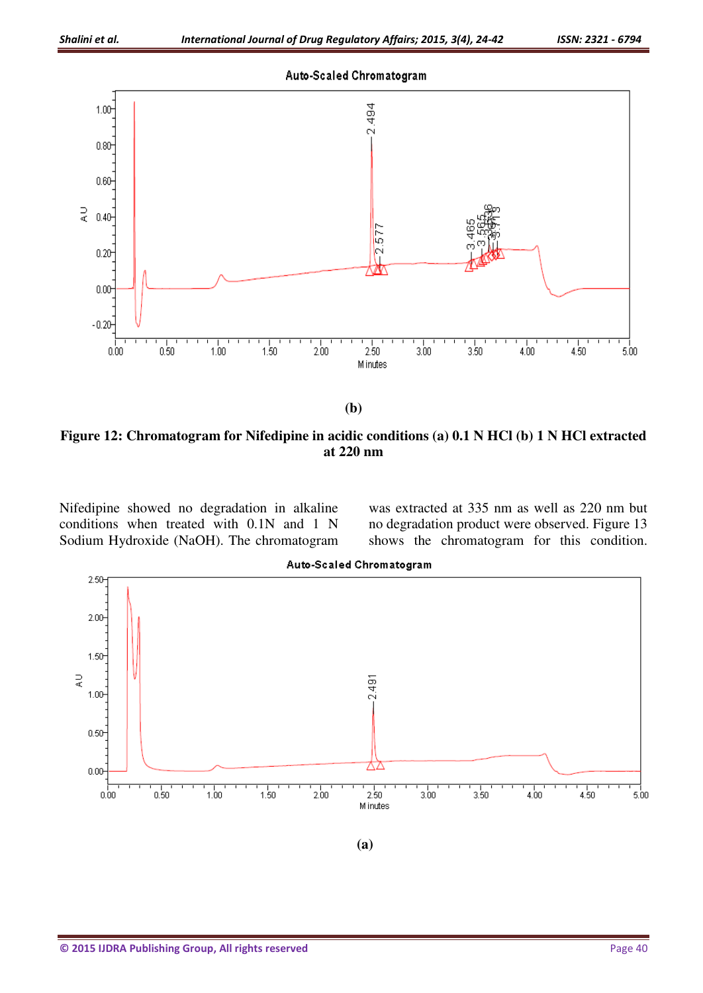

**(b)** 

**Figure 12: Chromatogram for Nifedipine in acidic conditions (a) 0.1 N HCl (b) 1 N HCl extracted at 220 nm** 

Nifedipine showed no degradation in alkaline conditions when treated with 0.1N and 1 N Sodium Hydroxide (NaOH). The chromatogram was extracted at 335 nm as well as 220 nm but no degradation product were observed. Figure 13 shows the chromatogram for this condition.



**Auto-Scaled Chromatogram**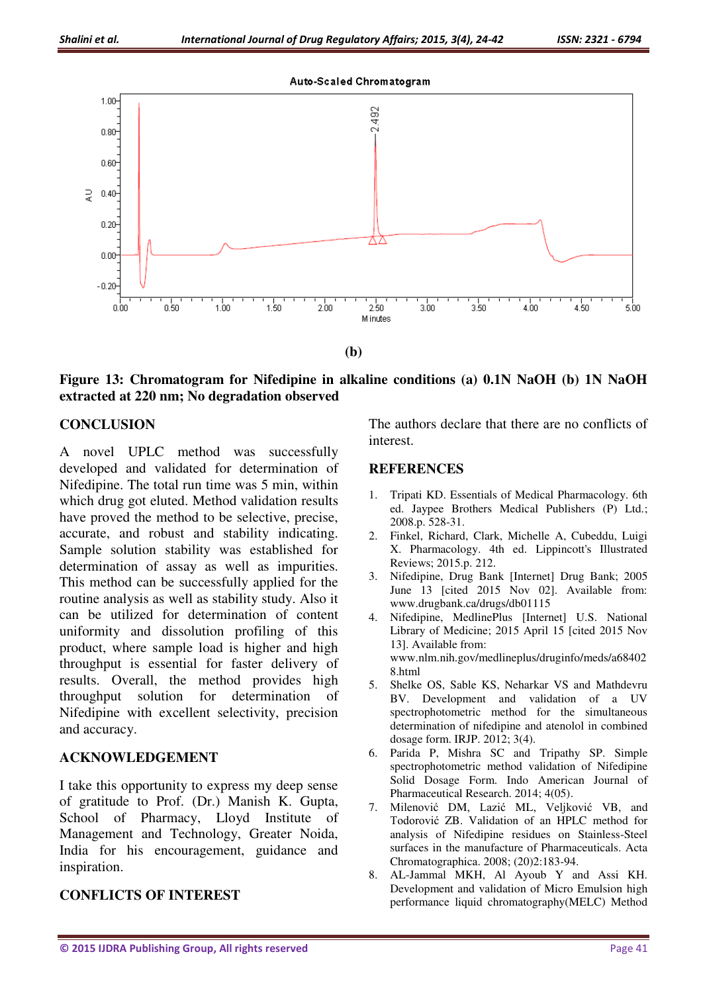

**Figure 13: Chromatogram for Nifedipine in alkaline conditions (a) 0.1N NaOH (b) 1N NaOH extracted at 220 nm; No degradation observed** 

## **CONCLUSION**

A novel UPLC method was successfully developed and validated for determination of Nifedipine. The total run time was 5 min, within which drug got eluted. Method validation results have proved the method to be selective, precise, accurate, and robust and stability indicating. Sample solution stability was established for determination of assay as well as impurities. This method can be successfully applied for the routine analysis as well as stability study. Also it can be utilized for determination of content uniformity and dissolution profiling of this product, where sample load is higher and high throughput is essential for faster delivery of results. Overall, the method provides high throughput solution for determination of Nifedipine with excellent selectivity, precision and accuracy.

#### **ACKNOWLEDGEMENT**

I take this opportunity to express my deep sense of gratitude to Prof. (Dr.) Manish K. Gupta, School of Pharmacy, Lloyd Institute of Management and Technology, Greater Noida, India for his encouragement, guidance and inspiration.

#### **CONFLICTS OF INTEREST**

The authors declare that there are no conflicts of interest.

#### **REFERENCES**

- 1. Tripati KD. Essentials of Medical Pharmacology. 6th ed. Jaypee Brothers Medical Publishers (P) Ltd.; 2008.p. 528-31.
- 2. Finkel, Richard, Clark, Michelle A, Cubeddu, Luigi X. Pharmacology. 4th ed. Lippincott's Illustrated Reviews; 2015.p. 212.
- 3. Nifedipine, Drug Bank [Internet] Drug Bank; 2005 June 13 [cited 2015 Nov 02]. Available from: www.drugbank.ca/drugs/db01115
- 4. Nifedipine, MedlinePlus [Internet] U.S. National Library of Medicine; 2015 April 15 [cited 2015 Nov 13]. Available from: www.nlm.nih.gov/medlineplus/druginfo/meds/a68402 8.html
- 5. Shelke OS, Sable KS, Neharkar VS and Mathdevru BV. Development and validation of a UV spectrophotometric method for the simultaneous determination of nifedipine and atenolol in combined dosage form. IRJP. 2012; 3(4).
- 6. Parida P, Mishra SC and Tripathy SP. Simple spectrophotometric method validation of Nifedipine Solid Dosage Form. Indo American Journal of Pharmaceutical Research. 2014; 4(05).
- 7. Milenović DM, Lazić ML, Veljković VB, and Todorović ZB. Validation of an HPLC method for analysis of Nifedipine residues on Stainless-Steel surfaces in the manufacture of Pharmaceuticals. Acta Chromatographica. 2008; (20)2:183-94.
- 8. AL-Jammal MKH, Al Ayoub Y and Assi KH. Development and validation of Micro Emulsion high performance liquid chromatography(MELC) Method